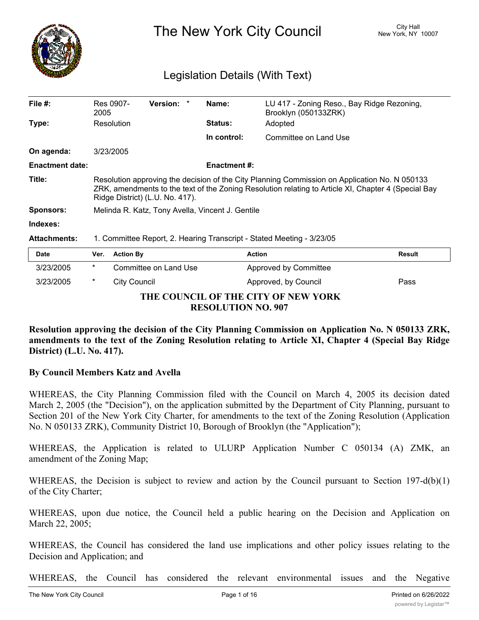

The New York City Council New York, NY 10007

# Legislation Details (With Text)

| File $#$ :             | Res 0907-<br>2005                                                                                                                                                                                                                       |                       | <b>Version:</b> |  | Name:               | LU 417 - Zoning Reso., Bay Ridge Rezoning,<br>Brooklyn (050133ZRK) |        |
|------------------------|-----------------------------------------------------------------------------------------------------------------------------------------------------------------------------------------------------------------------------------------|-----------------------|-----------------|--|---------------------|--------------------------------------------------------------------|--------|
| Type:                  | Resolution                                                                                                                                                                                                                              |                       |                 |  | <b>Status:</b>      | Adopted                                                            |        |
|                        |                                                                                                                                                                                                                                         |                       |                 |  | In control:         | Committee on Land Use                                              |        |
| On agenda:             | 3/23/2005                                                                                                                                                                                                                               |                       |                 |  |                     |                                                                    |        |
| <b>Enactment date:</b> |                                                                                                                                                                                                                                         |                       |                 |  | <b>Enactment #:</b> |                                                                    |        |
| Title:                 | Resolution approving the decision of the City Planning Commission on Application No. N 050133<br>ZRK, amendments to the text of the Zoning Resolution relating to Article XI, Chapter 4 (Special Bay<br>Ridge District) (L.U. No. 417). |                       |                 |  |                     |                                                                    |        |
| <b>Sponsors:</b>       | Melinda R. Katz, Tony Avella, Vincent J. Gentile                                                                                                                                                                                        |                       |                 |  |                     |                                                                    |        |
| Indexes:               |                                                                                                                                                                                                                                         |                       |                 |  |                     |                                                                    |        |
| <b>Attachments:</b>    | 1. Committee Report, 2. Hearing Transcript - Stated Meeting - 3/23/05                                                                                                                                                                   |                       |                 |  |                     |                                                                    |        |
| <b>Date</b>            | Ver.                                                                                                                                                                                                                                    | <b>Action By</b>      |                 |  |                     | <b>Action</b>                                                      | Result |
| 3/23/2005              | $\ast$                                                                                                                                                                                                                                  | Committee on Land Use |                 |  |                     | Approved by Committee                                              |        |
| 3/23/2005              | *                                                                                                                                                                                                                                       | City Council          |                 |  |                     | Approved, by Council                                               | Pass   |

# **THE COUNCIL OF THE CITY OF NEW YORK RESOLUTION NO. 907**

**Resolution approving the decision of the City Planning Commission on Application No. N 050133 ZRK, amendments to the text of the Zoning Resolution relating to Article XI, Chapter 4 (Special Bay Ridge District) (L.U. No. 417).**

# **By Council Members Katz and Avella**

WHEREAS, the City Planning Commission filed with the Council on March 4, 2005 its decision dated March 2, 2005 (the "Decision"), on the application submitted by the Department of City Planning, pursuant to Section 201 of the New York City Charter, for amendments to the text of the Zoning Resolution (Application No. N 050133 ZRK), Community District 10, Borough of Brooklyn (the "Application");

WHEREAS, the Application is related to ULURP Application Number C 050134 (A) ZMK, an amendment of the Zoning Map;

WHEREAS, the Decision is subject to review and action by the Council pursuant to Section 197-d(b)(1) of the City Charter;

WHEREAS, upon due notice, the Council held a public hearing on the Decision and Application on March 22, 2005;

WHEREAS, the Council has considered the land use implications and other policy issues relating to the Decision and Application; and

WHEREAS, the Council has considered the relevant environmental issues and the Negative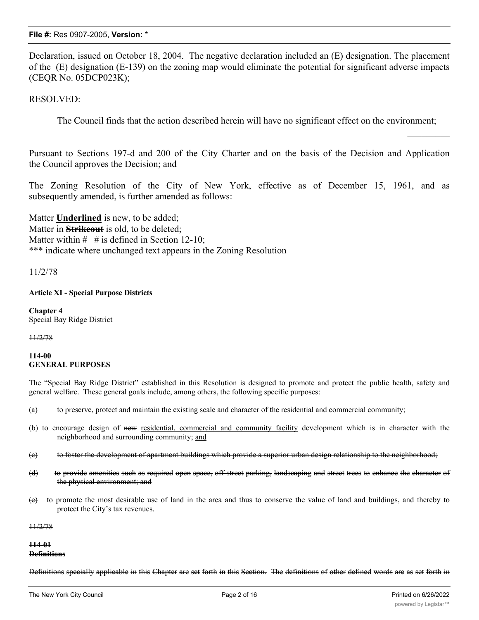Declaration, issued on October 18, 2004. The negative declaration included an (E) designation. The placement of the (E) designation (E-139) on the zoning map would eliminate the potential for significant adverse impacts (CEQR No. 05DCP023K);

RESOLVED:

The Council finds that the action described herein will have no significant effect on the environment;

Pursuant to Sections 197-d and 200 of the City Charter and on the basis of the Decision and Application the Council approves the Decision; and

The Zoning Resolution of the City of New York, effective as of December 15, 1961, and as subsequently amended, is further amended as follows:

Matter **Underlined** is new, to be added; Matter in **Strikeout** is old, to be deleted; Matter within  $\#$  # is defined in Section 12-10: \*\*\* indicate where unchanged text appears in the Zoning Resolution

11/2/78

### **Article XI - Special Purpose Districts**

**Chapter 4** Special Bay Ridge District

11/2/78

#### **114-00 GENERAL PURPOSES**

The "Special Bay Ridge District" established in this Resolution is designed to promote and protect the public health, safety and general welfare. These general goals include, among others, the following specific purposes:

- (a) to preserve, protect and maintain the existing scale and character of the residential and commercial community;
- (b) to encourage design of new residential, commercial and community facility development which is in character with the neighborhood and surrounding community; and
- (c) to foster the development of apartment buildings which provide a superior urban design relationship to the neighborhood;
- (d) to provide amenities such as required open space, off-street parking, landscaping and street trees to enhance the character of the physical environment; and
- (e) to promote the most desirable use of land in the area and thus to conserve the value of land and buildings, and thereby to protect the City's tax revenues.

11/2/78

#### **114-01 Definitions**

Definitions specially applicable in this Chapter are set forth in this Section. The definitions of other defined words are as set forth in

 $\frac{1}{2}$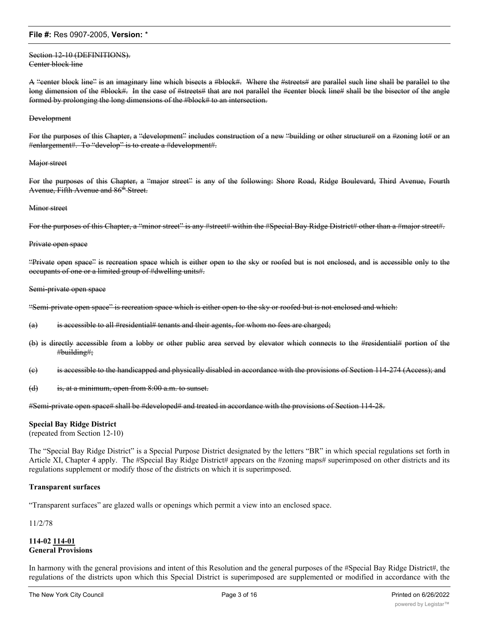#### Section 12-10 (DEFINITIONS). Center block line

A "center block line" is an imaginary line which bisects a #block#. Where the #streets# are parallel such line shall be parallel to the long dimension of the #block#. In the case of #streets# that are not parallel the #center block line# shall be the bisector of the angle formed by prolonging the long dimensions of the #block# to an intersection.

#### Development

For the purposes of this Chapter, a "development" includes construction of a new "building or other structure# on a #zoning lot# or an #enlargement#. To "develop" is to create a #development#.

#### Major street

For the purposes of this Chapter, a "major street" is any of the following: Shore Road, Ridge Boulevard, Third Avenue, Fourth Avenue, Fifth Avenue and 86<sup>th</sup> Street.

#### **Minor** street

For the purposes of this Chapter, a "minor street" is any #street# within the #Special Bay Ridge District# other than a #major street#.

#### Private open space

"Private open space" is recreation space which is either open to the sky or roofed but is not enclosed, and is accessible only to the occupants of one or a limited group of #dwelling units#.

#### Semi-private open space

"Semi-private open space" is recreation space which is either open to the sky or roofed but is not enclosed and which:

- (a) is accessible to all #residential# tenants and their agents, for whom no fees are charged;
- (b) is directly accessible from a lobby or other public area served by elevator which connects to the #residential# portion of the #building#;
- (c) is accessible to the handicapped and physically disabled in accordance with the provisions of Section 114-274 (Access); and
- (d) is, at a minimum, open from 8:00 a.m. to sunset.

#Semi-private open space# shall be #developed# and treated in accordance with the provisions of Section 114-28.

#### **Special Bay Ridge District**

(repeated from Section 12-10)

The "Special Bay Ridge District" is a Special Purpose District designated by the letters "BR" in which special regulations set forth in Article XI, Chapter 4 apply. The #Special Bay Ridge District# appears on the #zoning maps# superimposed on other districts and its regulations supplement or modify those of the districts on which it is superimposed.

#### **Transparent surfaces**

"Transparent surfaces" are glazed walls or openings which permit a view into an enclosed space.

11/2/78

### **114-02 114-01 General Provisions**

In harmony with the general provisions and intent of this Resolution and the general purposes of the #Special Bay Ridge District#, the regulations of the districts upon which this Special District is superimposed are supplemented or modified in accordance with the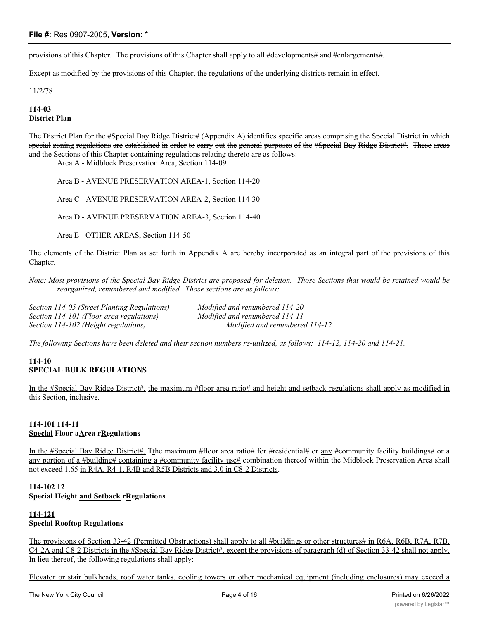provisions of this Chapter. The provisions of this Chapter shall apply to all #developments# and #enlargements#.

Except as modified by the provisions of this Chapter, the regulations of the underlying districts remain in effect.

11/2/78

**114-03 District Plan**

The District Plan for the #Special Bay Ridge District# (Appendix A) identifies specific areas comprising the Special District in which special zoning regulations are established in order to carry out the general purposes of the #Special Bay Ridge District#. These areas and the Sections of this Chapter containing regulations relating thereto are as follows:

Area A - Midblock Preservation Area, Section 114-09

Area B - AVENUE PRESERVATION AREA-1, Section 114-20

Area C - AVENUE PRESERVATION AREA-2, Section 114-30

Area D - AVENUE PRESERVATION AREA-3, Section 114-40

Area E - OTHER AREAS, Section 114-50

The elements of the District Plan as set forth in Appendix A are hereby incorporated as an integral part of the provisions of this Chapter.

Note: Most provisions of the Special Bay Ridge District are proposed for deletion. Those Sections that would be retained would be *reorganized, renumbered and modified. Those sections are as follows:*

*Section 114-05 (Street Planting Regulations) Modified and renumbered 114-20 Section 114-101 (Floor area regulations) Modified and renumbered 114-11 Section 114-102 (Height regulations) Modified and renumbered 114-12*

*The following Sections have been deleted and their section numbers re-utilized, as follows: 114-12, 114-20 and 114-21.*

# **114-10 SPECIAL BULK REGULATIONS**

In the #Special Bay Ridge District#, the maximum #floor area ratio# and height and setback regulations shall apply as modified in this Section, inclusive.

### **114-101 114-11 Special Floor aArea rRegulations**

In the #Special Bay Ridge District#, Tthe maximum #floor area ratio# for #residential# or any #community facility buildings# or a any portion of a #building# containing a #community facility use# combination thereof within the Midblock Preservation Area shall not exceed 1.65 in R4A, R4-1, R4B and R5B Districts and 3.0 in C8-2 Districts.

# **114-102 12 Special Height and Setback rRegulations**

# **114-121 Special Rooftop Regulations**

The provisions of Section 33-42 (Permitted Obstructions) shall apply to all #buildings or other structures# in R6A, R6B, R7A, R7B, C4-2A and C8-2 Districts in the #Special Bay Ridge District#, except the provisions of paragraph (d) of Section 33-42 shall not apply. In lieu thereof, the following regulations shall apply:

Elevator or stair bulkheads, roof water tanks, cooling towers or other mechanical equipment (including enclosures) may exceed a maximum height limit provided that either the product, in square feet, of street walls and such obstructions of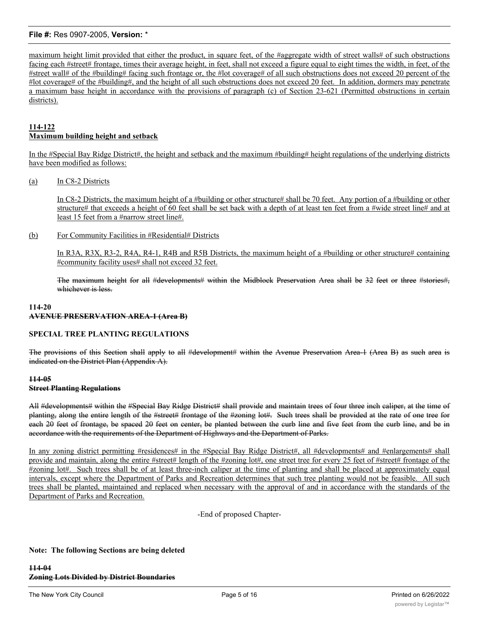maximum height limit provided that either the product, in square feet, of the #aggregate width of street walls# of such obstructions facing each #street# frontage, times their average height, in feet, shall not exceed a figure equal to eight times the width, in feet, of the #street wall# of the #building# facing such frontage or, the #lot coverage# of all such obstructions does not exceed 20 percent of the #lot coverage# of the #building#, and the height of all such obstructions does not exceed 20 feet. In addition, dormers may penetrate a maximum base height in accordance with the provisions of paragraph (c) of Section 23-621 (Permitted obstructions in certain districts).

# **114-122 Maximum building height and setback**

In the #Special Bay Ridge District#, the height and setback and the maximum #building# height regulations of the underlying districts have been modified as follows:

# (a) In C8-2 Districts

In C8-2 Districts, the maximum height of a #building or other structure# shall be 70 feet. Any portion of a #building or other structure# that exceeds a height of 60 feet shall be set back with a depth of at least ten feet from a #wide street line# and at least 15 feet from a #narrow street line#.

### (b) For Community Facilities in #Residential# Districts

In R3A, R3X, R3-2, R4A, R4-1, R4B and R5B Districts, the maximum height of a #building or other structure# containing #community facility uses# shall not exceed 32 feet.

The maximum height for all #developments# within the Midblock Preservation Area shall be 32 feet or three #stories#, whichever is less.

#### **114-20 AVENUE PRESERVATION AREA-1 (Area B)**

# **SPECIAL TREE PLANTING REGULATIONS**

The provisions of this Section shall apply to all #development# within the Avenue Preservation Area-1 (Area B) as such area is indicated on the District Plan (Appendix A).

# **114-05 Street Planting Regulations**

All #developments# within the #Special Bay Ridge District# shall provide and maintain trees of four three inch caliper, at the time of planting, along the entire length of the #street# frontage of the #zoning lot#. Such trees shall be provided at the rate of one tree for each 20 feet of frontage, be spaced 20 feet on center, be planted between the curb line and five feet from the curb line, and be in accordance with the requirements of the Department of Highways and the Department of Parks.

In any zoning district permitting #residences# in the #Special Bay Ridge District#, all #developments# and #enlargements# shall provide and maintain, along the entire #street# length of the #zoning lot#, one street tree for every 25 feet of #street# frontage of the #zoning lot#. Such trees shall be of at least three-inch caliper at the time of planting and shall be placed at approximately equal intervals, except where the Department of Parks and Recreation determines that such tree planting would not be feasible. All such trees shall be planted, maintained and replaced when necessary with the approval of and in accordance with the standards of the Department of Parks and Recreation.

-End of proposed Chapter-

# **Note: The following Sections are being deleted**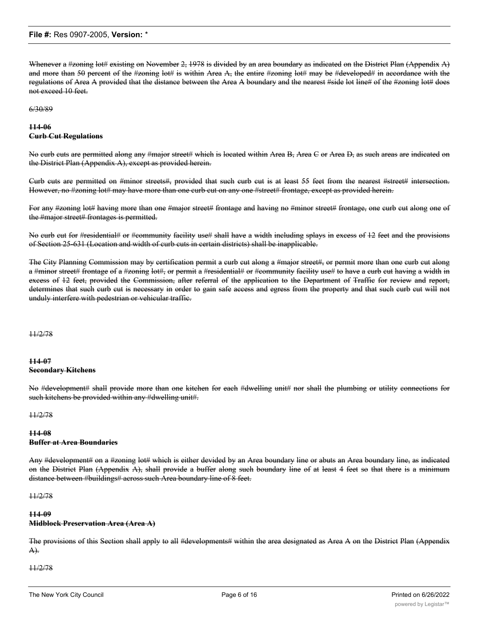Whenever a #zoning lot# existing on November 2, 1978 is divided by an area boundary as indicated on the District Plan (Appendix A) and more than 50 percent of the #zoning lot# is within Area A, the entire #zoning lot# may be #developed# in accordance with the regulations of Area A provided that the distance between the Area A boundary and the nearest #side lot line# of the #zoning lot# does not exceed 10 feet.

6/30/89

# **114-06 Curb Cut Regulations**

No curb cuts are permitted along any #major street# which is located within Area B, Area C or Area D, as such areas are indicated on the District Plan (Appendix A), except as provided herein.

Curb cuts are permitted on #minor streets#, provided that such curb cut is at least 55 feet from the nearest #street# intersection. However, no #zoning lot# may have more than one curb cut on any one #street# frontage, except as provided herein.

For any #zoning lot# having more than one #major street# frontage and having no #minor street# frontage, one curb cut along one of the #major street# frontages is permitted.

No curb cut for #residential# or #community facility use# shall have a width including splays in excess of 12 feet and the provisions of Section 25-631 (Location and width of curb cuts in certain districts) shall be inapplicable.

The City Planning Commission may by certification permit a curb cut along a #major street#, or permit more than one curb cut along a #minor street# frontage of a #zoning lot#, or permit a #residential# or #community facility use# to have a curb cut having a width in excess of 12 feet, provided the Commission, after referral of the application to the Department of Traffic for review and report, determines that such curb cut is necessary in order to gain safe access and egress from the property and that such curb cut will not unduly interfere with pedestrian or vehicular traffic.

11/2/78

# **114-07 Secondary Kitchens**

No #development# shall provide more than one kitchen for each #dwelling unit# nor shall the plumbing or utility connections for such kitchens be provided within any #dwelling unit#.

11/2/78

### **114-08 Buffer at Area Boundaries**

Any #development# on a #zoning lot# which is either devided by an Area boundary line or abuts an Area boundary line, as indicated on the District Plan (Appendix A), shall provide a buffer along such boundary line of at least 4 feet so that there is a minimum distance between #buildings# across such Area boundary line of 8 feet.

11/2/78

# **114-09 Midblock Preservation Area (Area A)**

The provisions of this Section shall apply to all #developments# within the area designated as Area A on the District Plan (Appendix A).

11/2/78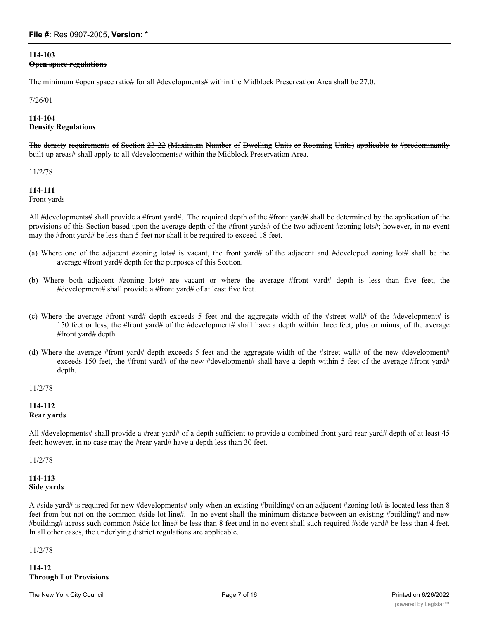# **114-103**

#### **Open space regulations**

The minimum #open space ratio# for all #developments# within the Midblock Preservation Area shall be 27.0.

7/26/01

## **114-104 Density Regulations**

The density requirements of Section 23-22 (Maximum Number of Dwelling Units or Rooming Units) applicable to #predominantly built-up areas# shall apply to all #developments# within the Midblock Preservation Area.

11/2/78

#### **114-111**

Front yards

All #developments# shall provide a #front yard#. The required depth of the #front yard# shall be determined by the application of the provisions of this Section based upon the average depth of the #front yards# of the two adjacent #zoning lots#; however, in no event may the #front yard# be less than 5 feet nor shall it be required to exceed 18 feet.

- (a) Where one of the adjacent #zoning lots# is vacant, the front yard# of the adjacent and #developed zoning lot# shall be the average #front yard# depth for the purposes of this Section.
- (b) Where both adjacent #zoning lots# are vacant or where the average #front yard# depth is less than five feet, the #development# shall provide a #front yard# of at least five feet.
- (c) Where the average #front yard# depth exceeds 5 feet and the aggregate width of the #street wall# of the #development# is 150 feet or less, the #front yard# of the #development# shall have a depth within three feet, plus or minus, of the average #front yard# depth.
- (d) Where the average #front yard# depth exceeds 5 feet and the aggregate width of the #street wall# of the new #development# exceeds 150 feet, the #front yard# of the new #development# shall have a depth within 5 feet of the average #front yard# depth.

# 11/2/78

# **114-112 Rear yards**

All #developments# shall provide a #rear yard# of a depth sufficient to provide a combined front yard-rear yard# depth of at least 45 feet; however, in no case may the #rear yard# have a depth less than 30 feet.

11/2/78

# **114-113 Side yards**

A #side yard# is required for new #developments# only when an existing #building# on an adjacent #zoning lot# is located less than 8 feet from but not on the common #side lot line#. In no event shall the minimum distance between an existing #building# and new #building# across such common #side lot line# be less than 8 feet and in no event shall such required #side yard# be less than 4 feet. In all other cases, the underlying district regulations are applicable.

11/2/78

**114-12 Through Lot Provisions**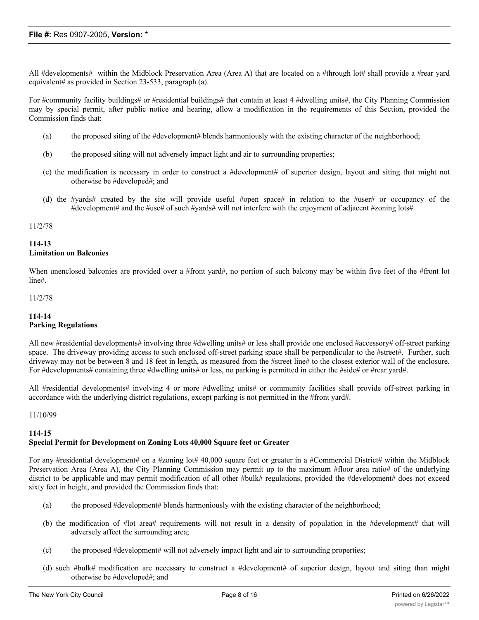All #developments# within the Midblock Preservation Area (Area A) that are located on a #through lot# shall provide a #rear yard equivalent# as provided in Section 23-533, paragraph (a).

For #community facility buildings# or #residential buildings# that contain at least 4 #dwelling units#, the City Planning Commission may by special permit, after public notice and hearing, allow a modification in the requirements of this Section, provided the Commission finds that:

- (a) the proposed siting of the #development# blends harmoniously with the existing character of the neighborhood;
- (b) the proposed siting will not adversely impact light and air to surrounding properties;
- (c) the modification is necessary in order to construct a #development# of superior design, layout and siting that might not otherwise be #developed#; and
- (d) the #yards# created by the site will provide useful #open space# in relation to the #user# or occupancy of the #development# and the #use# of such #yards# will not interfere with the enjoyment of adjacent #zoning lots#.

#### 11/2/78

# **114-13 Limitation on Balconies**

When unenclosed balconies are provided over a #front yard#, no portion of such balcony may be within five feet of the #front lot line#.

#### 11/2/78

# **114-14 Parking Regulations**

All new #residential developments# involving three #dwelling units# or less shall provide one enclosed #accessory# off-street parking space. The driveway providing access to such enclosed off-street parking space shall be perpendicular to the #street#. Further, such driveway may not be between 8 and 18 feet in length, as measured from the #street line# to the closest exterior wall of the enclosure. For #developments# containing three #dwelling units# or less, no parking is permitted in either the #side# or #rear yard#.

All #residential developments# involving 4 or more #dwelling units# or community facilities shall provide off-street parking in accordance with the underlying district regulations, except parking is not permitted in the #front yard#.

#### 11/10/99

#### **114-15**

# **Special Permit for Development on Zoning Lots 40,000 Square feet or Greater**

For any #residential development# on a #zoning lot# 40,000 square feet or greater in a #Commercial District# within the Midblock Preservation Area (Area A), the City Planning Commission may permit up to the maximum #floor area ratio# of the underlying district to be applicable and may permit modification of all other #bulk# regulations, provided the #development# does not exceed sixty feet in height, and provided the Commission finds that:

- (a) the proposed #development# blends harmoniously with the existing character of the neighborhood;
- (b) the modification of #lot area# requirements will not result in a density of population in the #development# that will adversely affect the surrounding area;
- (c) the proposed #development# will not adversely impact light and air to surrounding properties;
- (d) such #bulk# modification are necessary to construct a #development# of superior design, layout and siting than might otherwise be #developed#; and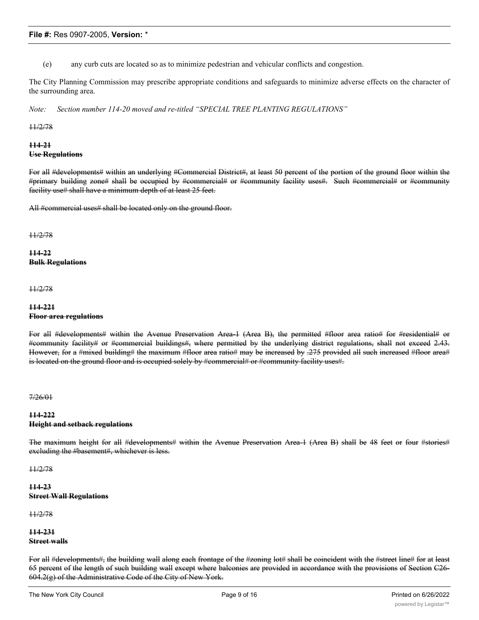(e) any curb cuts are located so as to minimize pedestrian and vehicular conflicts and congestion.

The City Planning Commission may prescribe appropriate conditions and safeguards to minimize adverse effects on the character of the surrounding area.

*Note: Section number 114-20 moved and re-titled "SPECIAL TREE PLANTING REGULATIONS"*

#### 11/2/78

### **114-21 Use Regulations**

For all #developments# within an underlying #Commercial District#, at least 50 percent of the portion of the ground floor within the #primary building zone# shall be occupied by #commercial# or #community facility uses#. Such #commercial# or #community facility use# shall have a minimum depth of at least 25 feet.

All #commercial uses# shall be located only on the ground floor.

11/2/78

**114-22 Bulk Regulations**

11/2/78

### **114-221 Floor area regulations**

For all #developments# within the Avenue Preservation Area-1 (Area B), the permitted #floor area ratio# for #residential# or #community facility# or #commercial buildings#, where permitted by the underlying district regulations, shall not exceed 2.43. However, for a #mixed building# the maximum #floor area ratio# may be increased by .275 provided all such increased #floor area# is located on the ground floor and is occupied solely by #commercial# or #community facility uses#.

7/26/01

# **114-222 Height and setback regulations**

The maximum height for all #developments# within the Avenue Preservation Area-1 (Area B) shall be 48 feet or four #stories# excluding the #basement#, whichever is less.

11/2/78

# **114-23 Street Wall Regulations**

11/2/78

# **114-231 Street walls**

For all #developments#, the building wall along each frontage of the #zoning lot# shall be coincident with the #street line# for at least 65 percent of the length of such building wall except where balconies are provided in accordance with the provisions of Section C26- 604.2(g) of the Administrative Code of the City of New York.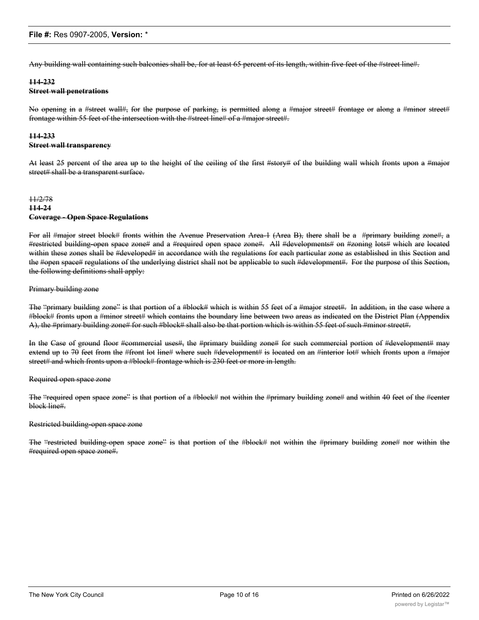Any building wall containing such balconies shall be, for at least 65 percent of its length, within five feet of the #street line#.

# **114-232 Street wall penetrations**

No opening in a #street wall#, for the purpose of parking, is permitted along a #major street# frontage or along a #minor street# frontage within 55 feet of the intersection with the #street line# of a #major street#.

# **114-233 Street wall transparency**

At least 25 percent of the area up to the height of the ceiling of the first #story# of the building wall which fronts upon a #major street# shall be a transparent surface.

# 11/2/78 **114-24 Coverage - Open Space Regulations**

For all #major street block# fronts within the Avenue Preservation Area-1 (Area B), there shall be a #primary building zone#, a #restricted building-open space zone# and a #required open space zone#. All #developments# on #zoning lots# which are located within these zones shall be #developed# in accordance with the regulations for each particular zone as established in this Section and the #open space# regulations of the underlying district shall not be applicable to such #development#. For the purpose of this Section, the following definitions shall apply:

### Primary building zone

The "primary building zone" is that portion of a #block# which is within 55 feet of a #major street#. In addition, in the case where a #block# fronts upon a #minor street# which contains the boundary line between two areas as indicated on the District Plan (Appendix A), the #primary building zone# for such #block# shall also be that portion which is within 55 feet of such #minor street#.

In the Case of ground floor #commercial uses#, the #primary building zone# for such commercial portion of #development# may extend up to 70 feet from the #front lot line# where such #development# is located on an #interior lot# which fronts upon a #major street# and which fronts upon a #block# frontage which is 230 feet or more in length.

#### Required open space zone

The "required open space zone" is that portion of a #block# not within the #primary building zone# and within 40 feet of the #center block line#.

#### Restricted building-open space zone

The "restricted building-open space zone" is that portion of the #block# not within the #primary building zone# nor within the #required open space zone#.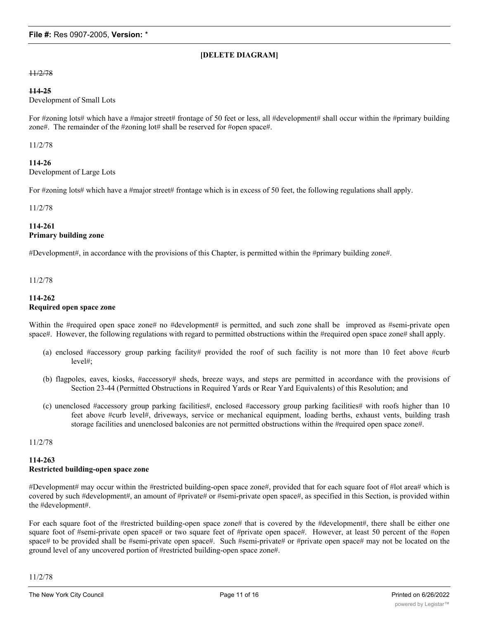# **[DELETE DIAGRAM]**

11/2/78

#### **114-25**

Development of Small Lots

For #zoning lots# which have a #major street# frontage of 50 feet or less, all #development# shall occur within the #primary building zone#. The remainder of the #zoning lot# shall be reserved for #open space#.

11/2/78

# **114-26**

Development of Large Lots

For #zoning lots# which have a #major street# frontage which is in excess of 50 feet, the following regulations shall apply.

#### 11/2/78

# **114-261 Primary building zone**

#Development#, in accordance with the provisions of this Chapter, is permitted within the #primary building zone#.

11/2/78

#### **114-262 Required open space zone**

Within the #required open space zone# no #development# is permitted, and such zone shall be improved as #semi-private open space#. However, the following regulations with regard to permitted obstructions within the #required open space zone# shall apply.

- (a) enclosed #accessory group parking facility# provided the roof of such facility is not more than 10 feet above #curb level#;
- (b) flagpoles, eaves, kiosks, #accessory# sheds, breeze ways, and steps are permitted in accordance with the provisions of Section 23-44 (Permitted Obstructions in Required Yards or Rear Yard Equivalents) of this Resolution; and
- (c) unenclosed #accessory group parking facilities#, enclosed #accessory group parking facilities# with roofs higher than 10 feet above #curb level#, driveways, service or mechanical equipment, loading berths, exhaust vents, building trash storage facilities and unenclosed balconies are not permitted obstructions within the #required open space zone#.

11/2/78

# **114-263 Restricted building-open space zone**

#Development# may occur within the #restricted building-open space zone#, provided that for each square foot of #lot area# which is covered by such #development#, an amount of #private# or #semi-private open space#, as specified in this Section, is provided within the #development#.

For each square foot of the #restricted building-open space zone# that is covered by the #development#, there shall be either one square foot of #semi-private open space# or two square feet of #private open space#. However, at least 50 percent of the #open space# to be provided shall be #semi-private open space#. Such #semi-private# or #private open space# may not be located on the ground level of any uncovered portion of #restricted building-open space zone#.

11/2/78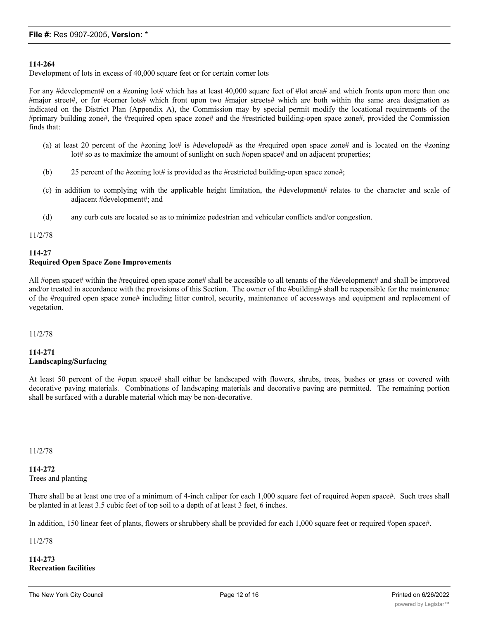# **114-264**

Development of lots in excess of 40,000 square feet or for certain corner lots

For any #development# on a #zoning lot# which has at least 40,000 square feet of #lot area# and which fronts upon more than one #major street#, or for #corner lots# which front upon two #major streets# which are both within the same area designation as indicated on the District Plan (Appendix A), the Commission may by special permit modify the locational requirements of the #primary building zone#, the #required open space zone# and the #restricted building-open space zone#, provided the Commission finds that:

- (a) at least 20 percent of the #zoning lot# is #developed# as the #required open space zone# and is located on the #zoning lot# so as to maximize the amount of sunlight on such #open space# and on adjacent properties;
- (b) 25 percent of the #zoning lot# is provided as the #restricted building-open space zone#;
- (c) in addition to complying with the applicable height limitation, the #development# relates to the character and scale of adjacent #development#; and
- (d) any curb cuts are located so as to minimize pedestrian and vehicular conflicts and/or congestion.

#### 11/2/78

### **114-27 Required Open Space Zone Improvements**

All #open space# within the #required open space zone# shall be accessible to all tenants of the #development# and shall be improved and/or treated in accordance with the provisions of this Section. The owner of the #building# shall be responsible for the maintenance of the #required open space zone# including litter control, security, maintenance of accessways and equipment and replacement of vegetation.

#### 11/2/78

# **114-271 Landscaping/Surfacing**

At least 50 percent of the #open space# shall either be landscaped with flowers, shrubs, trees, bushes or grass or covered with decorative paving materials. Combinations of landscaping materials and decorative paving are permitted. The remaining portion shall be surfaced with a durable material which may be non-decorative.

11/2/78

# **114-272** Trees and planting

There shall be at least one tree of a minimum of 4-inch caliper for each 1,000 square feet of required #open space#. Such trees shall be planted in at least 3.5 cubic feet of top soil to a depth of at least 3 feet, 6 inches.

In addition, 150 linear feet of plants, flowers or shrubbery shall be provided for each 1,000 square feet or required #open space#.

11/2/78

**114-273 Recreation facilities**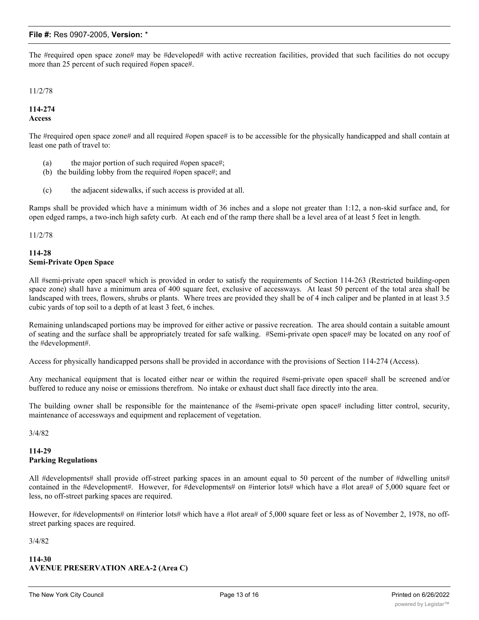The #required open space zone# may be #developed# with active recreation facilities, provided that such facilities do not occupy more than 25 percent of such required #open space#.

11/2/78

# **114-274 Access**

The #required open space zone# and all required #open space# is to be accessible for the physically handicapped and shall contain at least one path of travel to:

- (a) the major portion of such required #open space#;
- (b) the building lobby from the required #open space#; and
- (c) the adjacent sidewalks, if such access is provided at all.

Ramps shall be provided which have a minimum width of 36 inches and a slope not greater than 1:12, a non-skid surface and, for open edged ramps, a two-inch high safety curb. At each end of the ramp there shall be a level area of at least 5 feet in length.

#### 11/2/78

#### **114-28 Semi-Private Open Space**

All #semi-private open space# which is provided in order to satisfy the requirements of Section 114-263 (Restricted building-open space zone) shall have a minimum area of 400 square feet, exclusive of accessways. At least 50 percent of the total area shall be landscaped with trees, flowers, shrubs or plants. Where trees are provided they shall be of 4 inch caliper and be planted in at least 3.5 cubic yards of top soil to a depth of at least 3 feet, 6 inches.

Remaining unlandscaped portions may be improved for either active or passive recreation. The area should contain a suitable amount of seating and the surface shall be appropriately treated for safe walking. #Semi-private open space# may be located on any roof of the #development#.

Access for physically handicapped persons shall be provided in accordance with the provisions of Section 114-274 (Access).

Any mechanical equipment that is located either near or within the required #semi-private open space# shall be screened and/or buffered to reduce any noise or emissions therefrom. No intake or exhaust duct shall face directly into the area.

The building owner shall be responsible for the maintenance of the #semi-private open space# including litter control, security, maintenance of accessways and equipment and replacement of vegetation.

3/4/82

### **114-29 Parking Regulations**

All #developments# shall provide off-street parking spaces in an amount equal to 50 percent of the number of #dwelling units# contained in the #development#. However, for #developments# on #interior lots# which have a #lot area# of 5,000 square feet or less, no off-street parking spaces are required.

However, for #developments# on #interior lots# which have a #lot area# of 5,000 square feet or less as of November 2, 1978, no offstreet parking spaces are required.

3/4/82

### **114-30 AVENUE PRESERVATION AREA-2 (Area C)**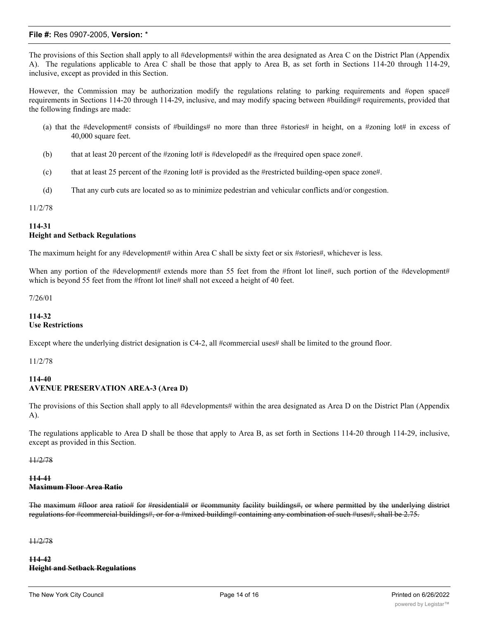The provisions of this Section shall apply to all #developments# within the area designated as Area C on the District Plan (Appendix A). The regulations applicable to Area C shall be those that apply to Area B, as set forth in Sections 114-20 through 114-29, inclusive, except as provided in this Section.

However, the Commission may be authorization modify the regulations relating to parking requirements and #open space# requirements in Sections 114-20 through 114-29, inclusive, and may modify spacing between #building# requirements, provided that the following findings are made:

- (a) that the #development# consists of #buildings# no more than three #stories# in height, on a #zoning lot# in excess of 40,000 square feet.
- (b) that at least 20 percent of the #zoning lot# is #developed# as the #required open space zone#.
- (c) that at least 25 percent of the #zoning lot# is provided as the #restricted building-open space zone#.
- (d) That any curb cuts are located so as to minimize pedestrian and vehicular conflicts and/or congestion.

#### 11/2/78

# **114-31 Height and Setback Regulations**

The maximum height for any #development# within Area C shall be sixty feet or six #stories#, whichever is less.

When any portion of the #development# extends more than 55 feet from the #front lot line#, such portion of the #development# which is beyond 55 feet from the #front lot line# shall not exceed a height of 40 feet.

7/26/01

# **114-32 Use Restrictions**

Except where the underlying district designation is C4-2, all #commercial uses# shall be limited to the ground floor.

11/2/78

# **114-40 AVENUE PRESERVATION AREA-3 (Area D)**

The provisions of this Section shall apply to all #developments# within the area designated as Area D on the District Plan (Appendix A).

The regulations applicable to Area D shall be those that apply to Area B, as set forth in Sections 114-20 through 114-29, inclusive, except as provided in this Section.

11/2/78

#### **114-41 Maximum Floor Area Ratio**

The maximum #floor area ratio# for #residential# or #community facility buildings#, or where permitted by the underlying district regulations for #commercial buildings#, or for a #mixed building# containing any combination of such #uses#, shall be 2.75.

11/2/78

**114-42 Height and Setback Regulations**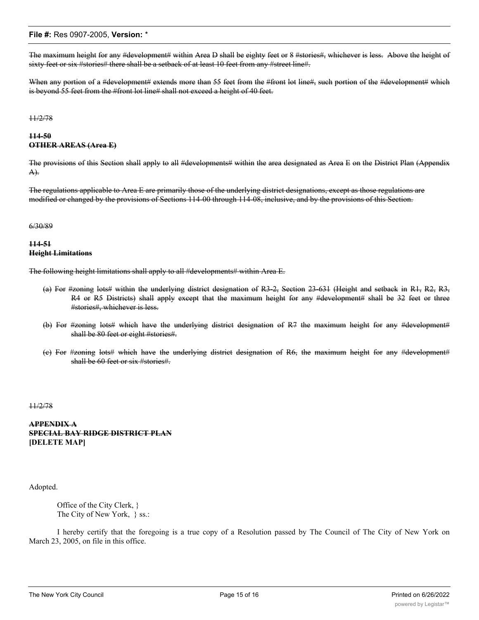The maximum height for any #development# within Area D shall be eighty feet or 8 #stories#, whichever is less. Above the height of sixty feet or six #stories# there shall be a setback of at least 10 feet from any #street line#.

When any portion of a #development# extends more than 55 feet from the #front lot line#, such portion of the #development# which is beyond 55 feet from the #front lot line# shall not exceed a height of 40 feet.

#### 11/2/78

#### **114-50 OTHER AREAS (Area E)**

The provisions of this Section shall apply to all #developments# within the area designated as Area E on the District Plan (Appendix A).

The regulations applicable to Area E are primarily those of the underlying district designations, except as those regulations are modified or changed by the provisions of Sections 114-00 through 114-08, inclusive, and by the provisions of this Section.

#### 6/30/89

### **114-51 Height Limitations**

The following height limitations shall apply to all #developments# within Area E.

- (a) For #zoning lots# within the underlying district designation of R3-2, Section 23-631 (Height and setback in R1, R2, R3, R4 or R5 Districts) shall apply except that the maximum height for any #development# shall be 32 feet or three #stories#, whichever is less.
- (b) For #zoning lots# which have the underlying district designation of R7 the maximum height for any #development# shall be 80 feet or eight #stories#.
- (c) For #zoning lots# which have the underlying district designation of R6, the maximum height for any #development# shall be 60 feet or six #stories#.

11/2/78

# **APPENDIX A SPECIAL BAY RIDGE DISTRICT PLAN [DELETE MAP]**

Adopted.

Office of the City Clerk, } The City of New York, } ss.:

I hereby certify that the foregoing is a true copy of a Resolution passed by The Council of The City of New York on March 23, 2005, on file in this office.